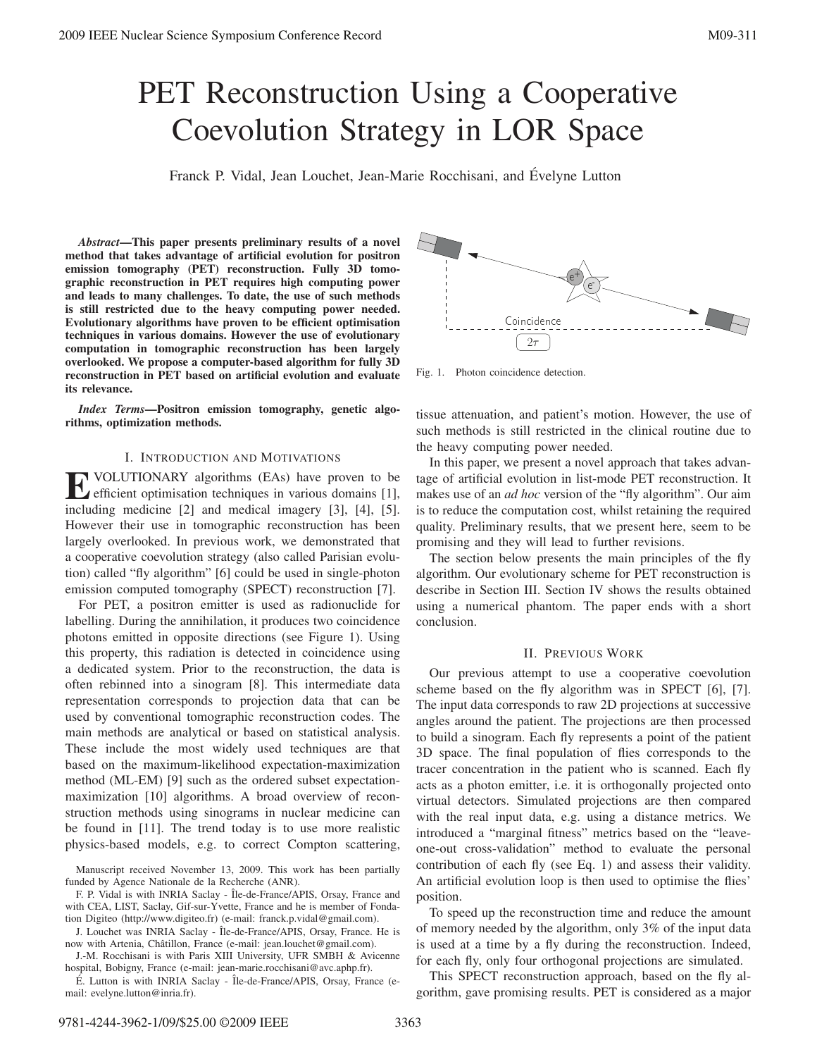# PET Reconstruction Using a Cooperative Coevolution Strategy in LOR Space

Franck P. Vidal, Jean Louchet, Jean-Marie Rocchisani, and Evelyne Lutton ´

*Abstract***—This paper presents preliminary results of a novel method that takes advantage of artificial evolution for positron emission tomography (PET) reconstruction. Fully 3D tomographic reconstruction in PET requires high computing power and leads to many challenges. To date, the use of such methods is still restricted due to the heavy computing power needed. Evolutionary algorithms have proven to be efficient optimisation techniques in various domains. However the use of evolutionary computation in tomographic reconstruction has been largely overlooked. We propose a computer-based algorithm for fully 3D reconstruction in PET based on artificial evolution and evaluate its relevance.**

*Index Terms***—Positron emission tomography, genetic algorithms, optimization methods.**

#### I. INTRODUCTION AND MOTIVATIONS

**E** VOLUTIONARY algorithms (EAs) have proven to be efficient optimisation techniques in various domains [1], including medicine [2] and medical imagery [3], [4], [5]. However their use in tomographic reconstruction has been largely overlooked. In previous work, we demonstrated that a cooperative coevolution strategy (also called Parisian evolution) called "fly algorithm" [6] could be used in single-photon emission computed tomography (SPECT) reconstruction [7].

For PET, a positron emitter is used as radionuclide for labelling. During the annihilation, it produces two coincidence photons emitted in opposite directions (see Figure 1). Using this property, this radiation is detected in coincidence using a dedicated system. Prior to the reconstruction, the data is often rebinned into a sinogram [8]. This intermediate data representation corresponds to projection data that can be used by conventional tomographic reconstruction codes. The main methods are analytical or based on statistical analysis. These include the most widely used techniques are that based on the maximum-likelihood expectation-maximization method (ML-EM) [9] such as the ordered subset expectationmaximization [10] algorithms. A broad overview of reconstruction methods using sinograms in nuclear medicine can be found in [11]. The trend today is to use more realistic physics-based models, e.g. to correct Compton scattering,

Manuscript received November 13, 2009. This work has been partially funded by Agence Nationale de la Recherche (ANR).

F. P. Vidal is with INRIA Saclay - Île-de-France/APIS, Orsay, France and with CEA, LIST, Saclay, Gif-sur-Yvette, France and he is member of Fondation Digiteo (http://www.digiteo.fr) (e-mail: franck.p.vidal@gmail.com).

J. Louchet was INRIA Saclay - Île-de-France/APIS, Orsay, France. He is now with Artenia, Châtillon, France (e-mail: jean.louchet@gmail.com).

J.-M. Rocchisani is with Paris XIII University, UFR SMBH & Avicenne hospital, Bobigny, France (e-mail: jean-marie.rocchisani@avc.aphp.fr).

E. Lutton is with INRIA Saclay - Île-de-France/APIS, Orsay, France (email: evelyne.lutton@inria.fr).



Fig. 1. Photon coincidence detection.

tissue attenuation, and patient's motion. However, the use of such methods is still restricted in the clinical routine due to the heavy computing power needed.

In this paper, we present a novel approach that takes advantage of artificial evolution in list-mode PET reconstruction. It makes use of an *ad hoc* version of the "fly algorithm". Our aim is to reduce the computation cost, whilst retaining the required quality. Preliminary results, that we present here, seem to be promising and they will lead to further revisions.

The section below presents the main principles of the fly algorithm. Our evolutionary scheme for PET reconstruction is describe in Section III. Section IV shows the results obtained using a numerical phantom. The paper ends with a short conclusion.

### II. PREVIOUS WORK

Our previous attempt to use a cooperative coevolution scheme based on the fly algorithm was in SPECT [6], [7]. The input data corresponds to raw 2D projections at successive angles around the patient. The projections are then processed to build a sinogram. Each fly represents a point of the patient 3D space. The final population of flies corresponds to the tracer concentration in the patient who is scanned. Each fly acts as a photon emitter, i.e. it is orthogonally projected onto virtual detectors. Simulated projections are then compared with the real input data, e.g. using a distance metrics. We introduced a "marginal fitness" metrics based on the "leaveone-out cross-validation" method to evaluate the personal contribution of each fly (see Eq. 1) and assess their validity. An artificial evolution loop is then used to optimise the flies' position.

To speed up the reconstruction time and reduce the amount of memory needed by the algorithm, only 3% of the input data is used at a time by a fly during the reconstruction. Indeed, for each fly, only four orthogonal projections are simulated.

This SPECT reconstruction approach, based on the fly algorithm, gave promising results. PET is considered as a major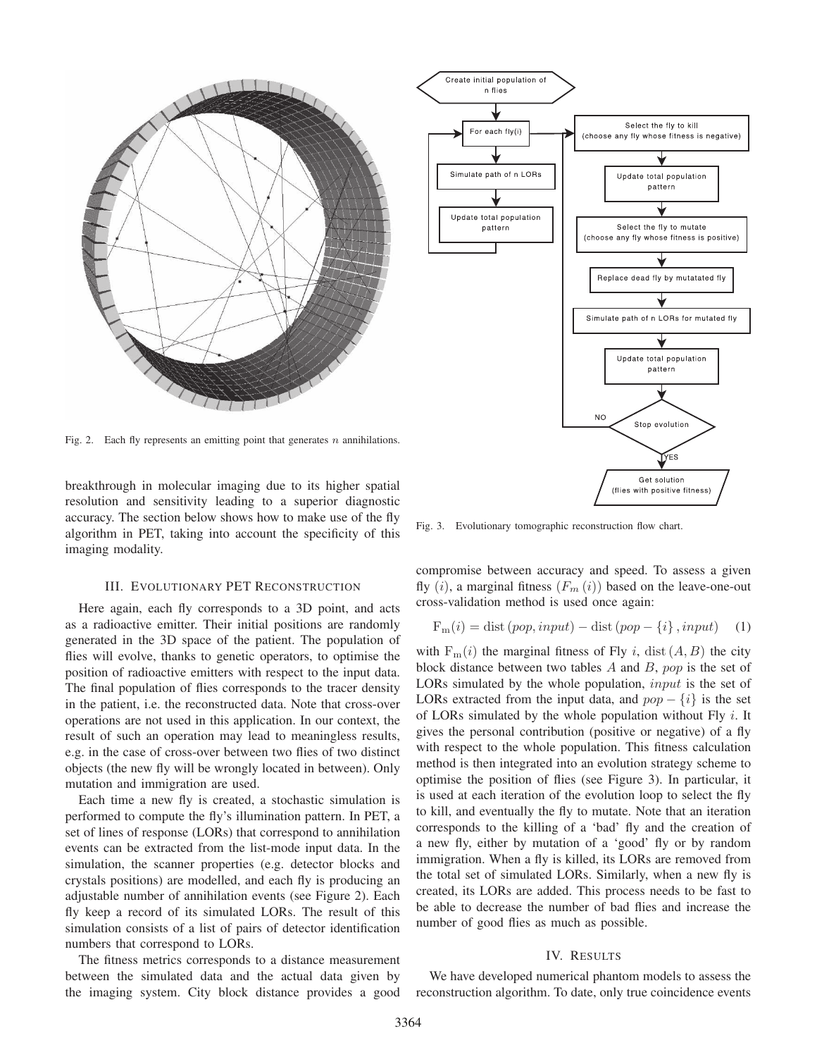

Fig. 2. Each fly represents an emitting point that generates  $n$  annihilations.

breakthrough in molecular imaging due to its higher spatial resolution and sensitivity leading to a superior diagnostic accuracy. The section below shows how to make use of the fly algorithm in PET, taking into account the specificity of this imaging modality.

## III. EVOLUTIONARY PET RECONSTRUCTION

Here again, each fly corresponds to a 3D point, and acts as a radioactive emitter. Their initial positions are randomly generated in the 3D space of the patient. The population of flies will evolve, thanks to genetic operators, to optimise the position of radioactive emitters with respect to the input data. The final population of flies corresponds to the tracer density in the patient, i.e. the reconstructed data. Note that cross-over operations are not used in this application. In our context, the result of such an operation may lead to meaningless results, e.g. in the case of cross-over between two flies of two distinct objects (the new fly will be wrongly located in between). Only mutation and immigration are used.

Each time a new fly is created, a stochastic simulation is performed to compute the fly's illumination pattern. In PET, a set of lines of response (LORs) that correspond to annihilation events can be extracted from the list-mode input data. In the simulation, the scanner properties (e.g. detector blocks and crystals positions) are modelled, and each fly is producing an adjustable number of annihilation events (see Figure 2). Each fly keep a record of its simulated LORs. The result of this simulation consists of a list of pairs of detector identification numbers that correspond to LORs.

The fitness metrics corresponds to a distance measurement between the simulated data and the actual data given by the imaging system. City block distance provides a good



Fig. 3. Evolutionary tomographic reconstruction flow chart.

compromise between accuracy and speed. To assess a given fly  $(i)$ , a marginal fitness  $(F_m(i))$  based on the leave-one-out cross-validation method is used once again:

$$
F_m(i) = dist (pop, input) - dist (pop - \{i\}, input) \quad (1)
$$

with  $F_m(i)$  the marginal fitness of Fly i, dist  $(A, B)$  the city block distance between two tables  $A$  and  $B$ ,  $pop$  is the set of LORs simulated by the whole population, *input* is the set of LORs extracted from the input data, and  $pop - \{i\}$  is the set of LORs simulated by the whole population without Fly  $i$ . It gives the personal contribution (positive or negative) of a fly with respect to the whole population. This fitness calculation method is then integrated into an evolution strategy scheme to optimise the position of flies (see Figure 3). In particular, it is used at each iteration of the evolution loop to select the fly to kill, and eventually the fly to mutate. Note that an iteration corresponds to the killing of a 'bad' fly and the creation of a new fly, either by mutation of a 'good' fly or by random immigration. When a fly is killed, its LORs are removed from the total set of simulated LORs. Similarly, when a new fly is created, its LORs are added. This process needs to be fast to be able to decrease the number of bad flies and increase the number of good flies as much as possible.

#### IV. RESULTS

We have developed numerical phantom models to assess the reconstruction algorithm. To date, only true coincidence events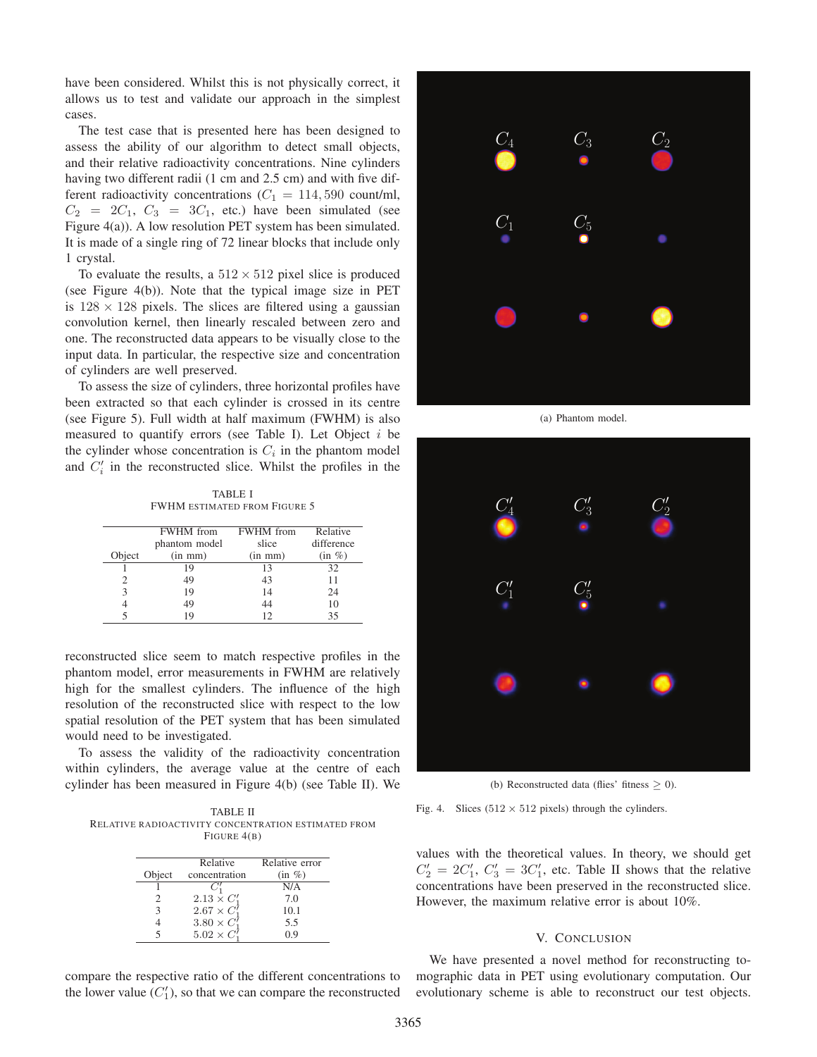have been considered. Whilst this is not physically correct, it allows us to test and validate our approach in the simplest cases.

The test case that is presented here has been designed to assess the ability of our algorithm to detect small objects, and their relative radioactivity concentrations. Nine cylinders having two different radii (1 cm and 2.5 cm) and with five different radioactivity concentrations ( $C_1 = 114,590$  count/ml,  $C_2 = 2C_1$ ,  $C_3 = 3C_1$ , etc.) have been simulated (see Figure 4(a)). A low resolution PET system has been simulated. It is made of a single ring of 72 linear blocks that include only 1 crystal.

To evaluate the results, a  $512 \times 512$  pixel slice is produced (see Figure 4(b)). Note that the typical image size in PET is  $128 \times 128$  pixels. The slices are filtered using a gaussian convolution kernel, then linearly rescaled between zero and one. The reconstructed data appears to be visually close to the input data. In particular, the respective size and concentration of cylinders are well preserved.

To assess the size of cylinders, three horizontal profiles have been extracted so that each cylinder is crossed in its centre (see Figure 5). Full width at half maximum (FWHM) is also measured to quantify errors (see Table I). Let Object  $i$  be the cylinder whose concentration is  $C_i$  in the phantom model and  $C_i'$  in the reconstructed slice. Whilst the profiles in the

TABLE I FWHM ESTIMATED FROM FIGURE 5

|        | <b>FWHM</b> from | <b>FWHM</b> from | Relative   |
|--------|------------------|------------------|------------|
|        | phantom model    | slice            | difference |
| Object | $(in \; mm)$     | $(in \; mm)$     | $(in \%)$  |
|        | 19               | 13               | 32         |
| 2      | 49               | 43               | 11         |
| 3      | 19               | 14               | 24         |
|        | 49               | 44               | 10         |
|        | 19               | 12               | 35         |

reconstructed slice seem to match respective profiles in the phantom model, error measurements in FWHM are relatively high for the smallest cylinders. The influence of the high resolution of the reconstructed slice with respect to the low spatial resolution of the PET system that has been simulated would need to be investigated.

To assess the validity of the radioactivity concentration within cylinders, the average value at the centre of each cylinder has been measured in Figure 4(b) (see Table II). We

TABLE II RELATIVE RADIOACTIVITY CONCENTRATION ESTIMATED FROM FIGURE 4(B)

|        | Relative            | Relative error |
|--------|---------------------|----------------|
| Object | concentration       | $(in \% )$     |
|        |                     | N/A            |
|        | $2.13 \times C'_1$  | 7.0            |
|        | $2.67 \times C_1^7$ | 10.1           |
|        | $3.80 \times C'_1$  | 5.5            |
|        | $5.02 \times C_1^7$ | በ ዓ            |

 $C_1$   $C_5$  $C_4$   $C_3$   $C_2$ 

(a) Phantom model.



(b) Reconstructed data (flies' fitness  $\geq$  0).

Fig. 4. Slices  $(512 \times 512)$  pixels) through the cylinders.

values with the theoretical values. In theory, we should get  $C_2' = 2C_1', C_3' = 3C_1'$ , etc. Table II shows that the relative concentrations have been preserved in the reconstructed slice. However, the maximum relative error is about 10%.

## V. CONCLUSION

We have presented a novel method for reconstructing tomographic data in PET using evolutionary computation. Our evolutionary scheme is able to reconstruct our test objects.

compare the respective ratio of the different concentrations to the lower value  $(C'_1)$ , so that we can compare the reconstructed